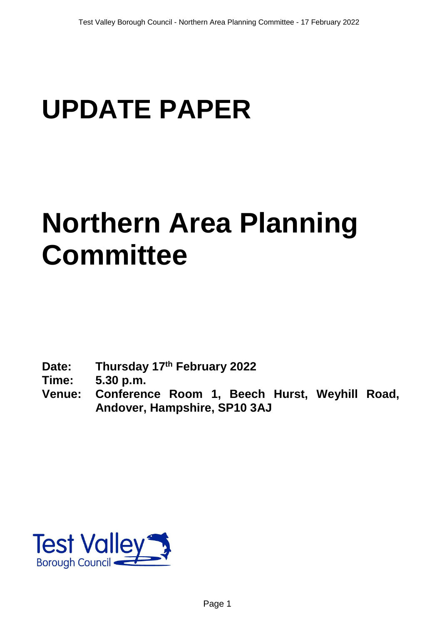# **UPDATE PAPER**

# **Northern Area Planning Committee**

**Date: Thursday 17th February 2022**

**Time: 5.30 p.m.**

**Venue: Conference Room 1, Beech Hurst, Weyhill Road, Andover, Hampshire, SP10 3AJ**

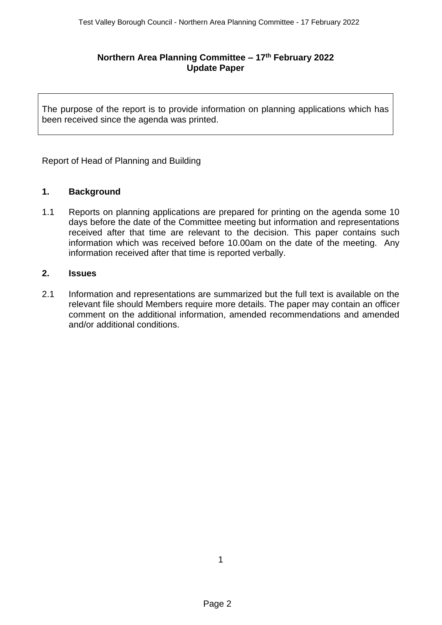## **Northern Area Planning Committee – 17th February 2022 Update Paper**

The purpose of the report is to provide information on planning applications which has been received since the agenda was printed.

Report of Head of Planning and Building

#### **1. Background**

1.1 Reports on planning applications are prepared for printing on the agenda some 10 days before the date of the Committee meeting but information and representations received after that time are relevant to the decision. This paper contains such information which was received before 10.00am on the date of the meeting. Any information received after that time is reported verbally.

#### **2. Issues**

2.1 Information and representations are summarized but the full text is available on the relevant file should Members require more details. The paper may contain an officer comment on the additional information, amended recommendations and amended and/or additional conditions.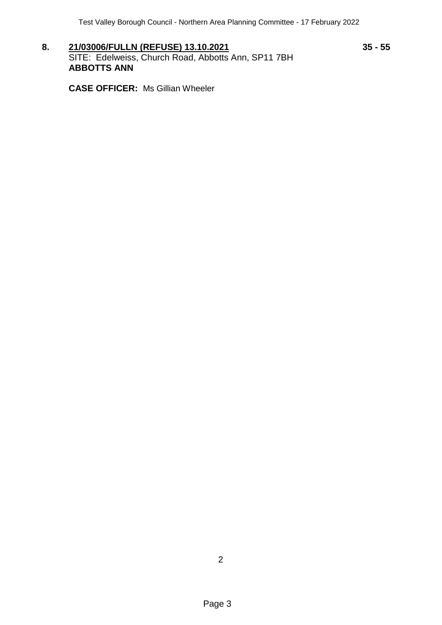**8. 21/03006/FULLN (REFUSE) 13.10.2021 35 - 55** SITE: Edelweiss, Church Road, Abbotts Ann, SP11 7BH **ABBOTTS ANN**

**CASE OFFICER:** Ms Gillian Wheeler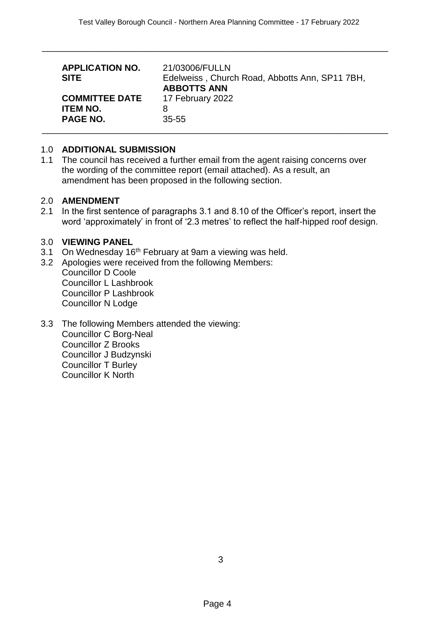| <b>APPLICATION NO.</b><br><b>SITE</b> | 21/03006/FULLN<br>Edelweiss, Church Road, Abbotts Ann, SP11 7BH,<br><b>ABBOTTS ANN</b> |
|---------------------------------------|----------------------------------------------------------------------------------------|
| <b>COMMITTEE DATE</b>                 | 17 February 2022                                                                       |
| <b>ITEM NO.</b>                       | 8                                                                                      |
| <b>PAGE NO.</b>                       | $35 - 55$                                                                              |

\_\_\_\_\_\_\_\_\_\_\_\_\_\_\_\_\_\_\_\_\_\_\_\_\_\_\_\_\_\_\_\_\_\_\_\_\_\_\_\_\_\_\_\_\_\_\_\_\_\_\_\_\_\_\_\_\_\_\_\_\_\_\_\_\_\_\_\_\_\_

#### 1.0 **ADDITIONAL SUBMISSION**

1.1 The council has received a further email from the agent raising concerns over the wording of the committee report (email attached). As a result, an amendment has been proposed in the following section.

#### 2.0 **AMENDMENT**

2.1 In the first sentence of paragraphs 3.1 and 8.10 of the Officer's report, insert the word 'approximately' in front of '2.3 metres' to reflect the half-hipped roof design.

#### 3.0 **VIEWING PANEL**

- 3.1 On Wednesday 16<sup>th</sup> February at 9am a viewing was held.
- 3.2 Apologies were received from the following Members: Councillor D Coole Councillor L Lashbrook Councillor P Lashbrook Councillor N Lodge
- 3.3 The following Members attended the viewing: Councillor C Borg-Neal Councillor Z Brooks Councillor J Budzynski Councillor T Burley Councillor K North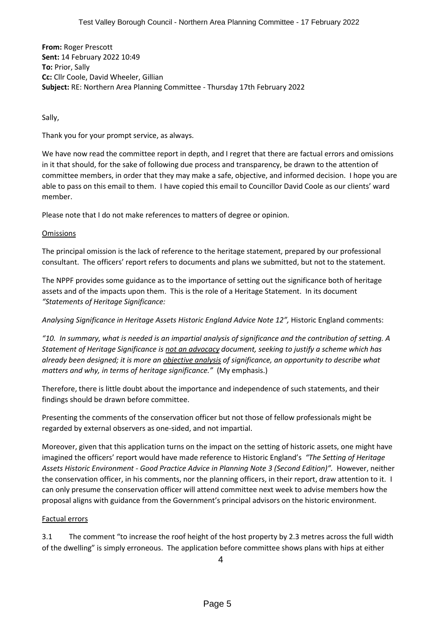**From:** Roger Prescott **Sent:** 14 February 2022 10:49 **To:** Prior, Sally **Cc:** Cllr Coole, David Wheeler, Gillian **Subject:** RE: Northern Area Planning Committee - Thursday 17th February 2022

Sally,

Thank you for your prompt service, as always.

We have now read the committee report in depth, and I regret that there are factual errors and omissions in it that should, for the sake of following due process and transparency, be drawn to the attention of committee members, in order that they may make a safe, objective, and informed decision. I hope you are able to pass on this email to them. I have copied this email to Councillor David Coole as our clients' ward member.

Please note that I do not make references to matters of degree or opinion.

#### **Omissions**

The principal omission is the lack of reference to the heritage statement, prepared by our professional consultant. The officers' report refers to documents and plans we submitted, but not to the statement.

The NPPF provides some guidance as to the importance of setting out the significance both of heritage assets and of the impacts upon them. This is the role of a Heritage Statement. In its document *"Statements of Heritage Significance:*

*Analysing Significance in Heritage Assets Historic England Advice Note 12",* Historic England comments:

*"10. In summary, what is needed is an impartial analysis of significance and the contribution of setting. A Statement of Heritage Significance is not an advocacy document, seeking to justify a scheme which has already been designed; it is more an objective analysis of significance, an opportunity to describe what matters and why, in terms of heritage significance."* (My emphasis.)

Therefore, there is little doubt about the importance and independence of such statements, and their findings should be drawn before committee.

Presenting the comments of the conservation officer but not those of fellow professionals might be regarded by external observers as one-sided, and not impartial.

Moreover, given that this application turns on the impact on the setting of historic assets, one might have imagined the officers' report would have made reference to Historic England's *"The Setting of Heritage Assets Historic Environment - Good Practice Advice in Planning Note 3 (Second Edition)".* However, neither the conservation officer, in his comments, nor the planning officers, in their report, draw attention to it. I can only presume the conservation officer will attend committee next week to advise members how the proposal aligns with guidance from the Government's principal advisors on the historic environment.

### Factual errors

3.1 The comment "to increase the roof height of the host property by 2.3 metres across the full width of the dwelling" is simply erroneous. The application before committee shows plans with hips at either

4